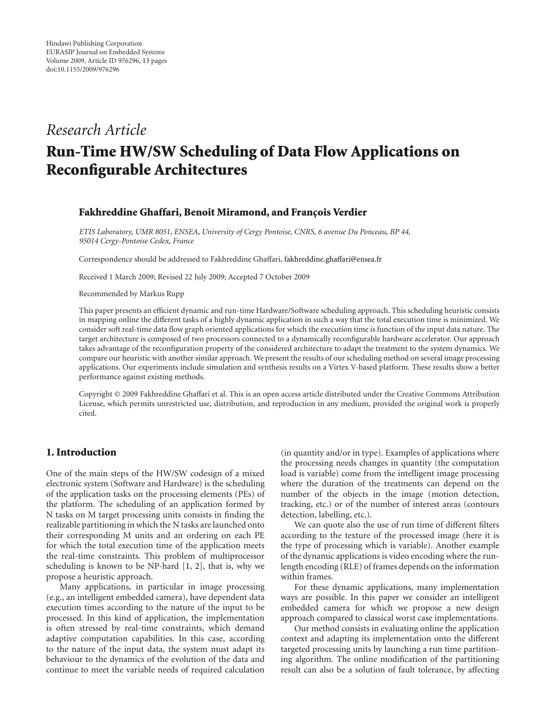# *Research Article*

# **Run-Time HW/SW Scheduling of Data Flow Applications on Reconfigurable Architectures**

#### Fakhreddine Ghaffari, Benoit Miramond, and François Verdier

*ETIS Laboratory, UMR 8051, ENSEA, University of Cergy Pontoise, CNRS, 6 avenue Du Ponceau, BP 44, 95014 Cergy-Pontoise Cedex, France*

Correspondence should be addressed to Fakhreddine Ghaffari, fakhreddine.ghaffari@ensea.fr

Received 1 March 2009; Revised 22 July 2009; Accepted 7 October 2009

Recommended by Markus Rupp

This paper presents an efficient dynamic and run-time Hardware/Software scheduling approach. This scheduling heuristic consists in mapping online the different tasks of a highly dynamic application in such a way that the total execution time is minimized. We consider soft real-time data flow graph oriented applications for which the execution time is function of the input data nature. The target architecture is composed of two processors connected to a dynamically reconfigurable hardware accelerator. Our approach takes advantage of the reconfiguration property of the considered architecture to adapt the treatment to the system dynamics. We compare our heuristic with another similar approach. We present the results of our scheduling method on several image processing applications. Our experiments include simulation and synthesis results on a Virtex V-based platform. These results show a better performance against existing methods.

Copyright © 2009 Fakhreddine Ghaffari et al. This is an open access article distributed under the Creative Commons Attribution License, which permits unrestricted use, distribution, and reproduction in any medium, provided the original work is properly cited.

# **1. Introduction**

One of the main steps of the HW/SW codesign of a mixed electronic system (Software and Hardware) is the scheduling of the application tasks on the processing elements (PEs) of the platform. The scheduling of an application formed by N tasks on M target processing units consists in finding the realizable partitioning in which the N tasks are launched onto their corresponding M units and an ordering on each PE for which the total execution time of the application meets the real-time constraints. This problem of multiprocessor scheduling is known to be NP-hard  $[1, 2]$ , that is, why we propose a heuristic approach.

Many applications, in particular in image processing (e.g., an intelligent embedded camera), have dependent data execution times according to the nature of the input to be processed. In this kind of application, the implementation is often stressed by real-time constraints, which demand adaptive computation capabilities. In this case, according to the nature of the input data, the system must adapt its behaviour to the dynamics of the evolution of the data and continue to meet the variable needs of required calculation

(in quantity and/or in type). Examples of applications where the processing needs changes in quantity (the computation load is variable) come from the intelligent image processing where the duration of the treatments can depend on the number of the objects in the image (motion detection, tracking, etc.) or of the number of interest areas (contours detection, labelling, etc.).

We can quote also the use of run time of different filters according to the texture of the processed image (here it is the type of processing which is variable). Another example of the dynamic applications is video encoding where the runlength encoding (RLE) of frames depends on the information within frames.

For these dynamic applications, many implementation ways are possible. In this paper we consider an intelligent embedded camera for which we propose a new design approach compared to classical worst case implementations.

Our method consists in evaluating online the application context and adapting its implementation onto the different targeted processing units by launching a run time partitioning algorithm. The online modification of the partitioning result can also be a solution of fault tolerance, by affecting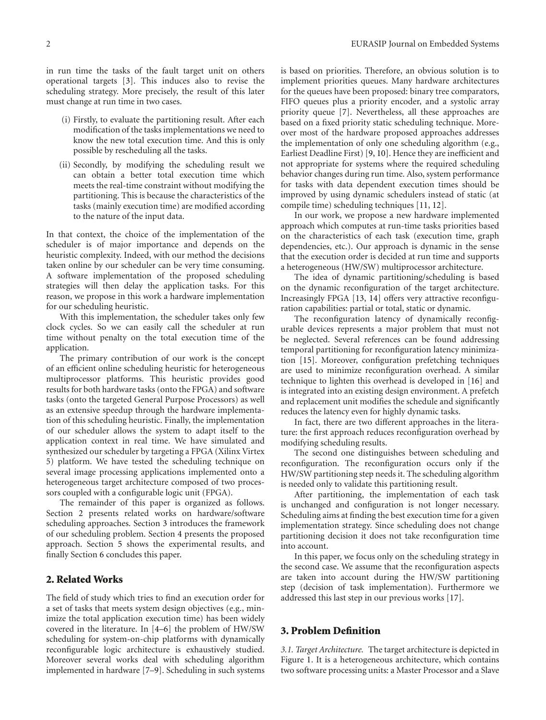- (i) Firstly, to evaluate the partitioning result. After each modification of the tasks implementations we need to know the new total execution time. And this is only possible by rescheduling all the tasks.
- (ii) Secondly, by modifying the scheduling result we can obtain a better total execution time which meets the real-time constraint without modifying the partitioning. This is because the characteristics of the tasks (mainly execution time) are modified according to the nature of the input data.

In that context, the choice of the implementation of the scheduler is of major importance and depends on the heuristic complexity. Indeed, with our method the decisions taken online by our scheduler can be very time consuming. A software implementation of the proposed scheduling strategies will then delay the application tasks. For this reason, we propose in this work a hardware implementation for our scheduling heuristic.

With this implementation, the scheduler takes only few clock cycles. So we can easily call the scheduler at run time without penalty on the total execution time of the application.

The primary contribution of our work is the concept of an efficient online scheduling heuristic for heterogeneous multiprocessor platforms. This heuristic provides good results for both hardware tasks (onto the FPGA) and software tasks (onto the targeted General Purpose Processors) as well as an extensive speedup through the hardware implementation of this scheduling heuristic. Finally, the implementation of our scheduler allows the system to adapt itself to the application context in real time. We have simulated and synthesized our scheduler by targeting a FPGA (Xilinx Virtex 5) platform. We have tested the scheduling technique on several image processing applications implemented onto a heterogeneous target architecture composed of two processors coupled with a configurable logic unit (FPGA).

The remainder of this paper is organized as follows. Section 2 presents related works on hardware/software scheduling approaches. Section 3 introduces the framework of our scheduling problem. Section 4 presents the proposed approach. Section 5 shows the experimental results, and finally Section 6 concludes this paper.

# **2. Related Works**

The field of study which tries to find an execution order for a set of tasks that meets system design objectives (e.g., minimize the total application execution time) has been widely covered in the literature. In [4–6] the problem of HW/SW scheduling for system-on-chip platforms with dynamically reconfigurable logic architecture is exhaustively studied. Moreover several works deal with scheduling algorithm implemented in hardware [7–9]. Scheduling in such systems

is based on priorities. Therefore, an obvious solution is to implement priorities queues. Many hardware architectures for the queues have been proposed: binary tree comparators, FIFO queues plus a priority encoder, and a systolic array priority queue [7]. Nevertheless, all these approaches are based on a fixed priority static scheduling technique. Moreover most of the hardware proposed approaches addresses the implementation of only one scheduling algorithm (e.g., Earliest Deadline First) [9, 10]. Hence they are inefficient and not appropriate for systems where the required scheduling behavior changes during run time. Also, system performance for tasks with data dependent execution times should be improved by using dynamic schedulers instead of static (at compile time) scheduling techniques [11, 12].

In our work, we propose a new hardware implemented approach which computes at run-time tasks priorities based on the characteristics of each task (execution time, graph dependencies, etc.). Our approach is dynamic in the sense that the execution order is decided at run time and supports a heterogeneous (HW/SW) multiprocessor architecture.

The idea of dynamic partitioning/scheduling is based on the dynamic reconfiguration of the target architecture. Increasingly FPGA [13, 14] offers very attractive reconfiguration capabilities: partial or total, static or dynamic.

The reconfiguration latency of dynamically reconfigurable devices represents a major problem that must not be neglected. Several references can be found addressing temporal partitioning for reconfiguration latency minimization [15]. Moreover, configuration prefetching techniques are used to minimize reconfiguration overhead. A similar technique to lighten this overhead is developed in [16] and is integrated into an existing design environment. A prefetch and replacement unit modifies the schedule and significantly reduces the latency even for highly dynamic tasks.

In fact, there are two different approaches in the literature: the first approach reduces reconfiguration overhead by modifying scheduling results.

The second one distinguishes between scheduling and reconfiguration. The reconfiguration occurs only if the HW/SW partitioning step needs it. The scheduling algorithm is needed only to validate this partitioning result.

After partitioning, the implementation of each task is unchanged and configuration is not longer necessary. Scheduling aims at finding the best execution time for a given implementation strategy. Since scheduling does not change partitioning decision it does not take reconfiguration time into account.

In this paper, we focus only on the scheduling strategy in the second case. We assume that the reconfiguration aspects are taken into account during the HW/SW partitioning step (decision of task implementation). Furthermore we addressed this last step in our previous works [17].

#### **3. Problem Definition**

*3.1. Target Architecture.* The target architecture is depicted in Figure 1. It is a heterogeneous architecture, which contains two software processing units: a Master Processor and a Slave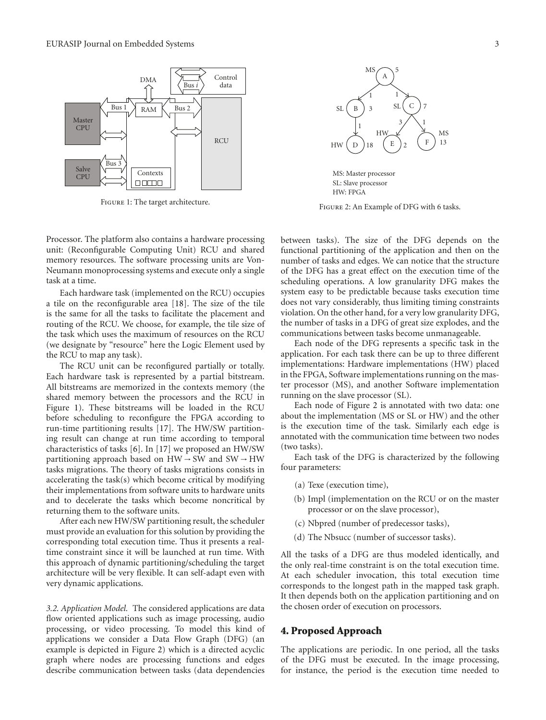

Figure 1: The target architecture.

Processor. The platform also contains a hardware processing unit: (Reconfigurable Computing Unit) RCU and shared memory resources. The software processing units are Von-Neumann monoprocessing systems and execute only a single task at a time.

Each hardware task (implemented on the RCU) occupies a tile on the reconfigurable area [18]. The size of the tile is the same for all the tasks to facilitate the placement and routing of the RCU. We choose, for example, the tile size of the task which uses the maximum of resources on the RCU (we designate by "resource" here the Logic Element used by the RCU to map any task).

The RCU unit can be reconfigured partially or totally. Each hardware task is represented by a partial bitstream. All bitstreams are memorized in the contexts memory (the shared memory between the processors and the RCU in Figure 1). These bitstreams will be loaded in the RCU before scheduling to reconfigure the FPGA according to run-time partitioning results [17]. The HW/SW partitioning result can change at run time according to temporal characteristics of tasks [6]. In [17] we proposed an HW/SW partitioning approach based on HW→ SW and SW→ HW tasks migrations. The theory of tasks migrations consists in accelerating the task(s) which become critical by modifying their implementations from software units to hardware units and to decelerate the tasks which become noncritical by returning them to the software units.

After each new HW/SW partitioning result, the scheduler must provide an evaluation for this solution by providing the corresponding total execution time. Thus it presents a realtime constraint since it will be launched at run time. With this approach of dynamic partitioning/scheduling the target architecture will be very flexible. It can self-adapt even with very dynamic applications.

*3.2. Application Model.* The considered applications are data flow oriented applications such as image processing, audio processing, or video processing. To model this kind of applications we consider a Data Flow Graph (DFG) (an example is depicted in Figure 2) which is a directed acyclic graph where nodes are processing functions and edges describe communication between tasks (data dependencies



HW: FPGA

Figure 2: An Example of DFG with 6 tasks.

between tasks). The size of the DFG depends on the functional partitioning of the application and then on the number of tasks and edges. We can notice that the structure of the DFG has a great effect on the execution time of the scheduling operations. A low granularity DFG makes the system easy to be predictable because tasks execution time does not vary considerably, thus limiting timing constraints violation. On the other hand, for a very low granularity DFG, the number of tasks in a DFG of great size explodes, and the communications between tasks become unmanageable.

Each node of the DFG represents a specific task in the application. For each task there can be up to three different implementations: Hardware implementations (HW) placed in the FPGA, Software implementations running on the master processor (MS), and another Software implementation running on the slave processor (SL).

Each node of Figure 2 is annotated with two data: one about the implementation (MS or SL or HW) and the other is the execution time of the task. Similarly each edge is annotated with the communication time between two nodes (two tasks).

Each task of the DFG is characterized by the following four parameters:

- (a) Texe (execution time),
- (b) Impl (implementation on the RCU or on the master processor or on the slave processor),
- (c) Nbpred (number of predecessor tasks),
- (d) The Nbsucc (number of successor tasks).

All the tasks of a DFG are thus modeled identically, and the only real-time constraint is on the total execution time. At each scheduler invocation, this total execution time corresponds to the longest path in the mapped task graph. It then depends both on the application partitioning and on the chosen order of execution on processors.

#### **4. Proposed Approach**

The applications are periodic. In one period, all the tasks of the DFG must be executed. In the image processing, for instance, the period is the execution time needed to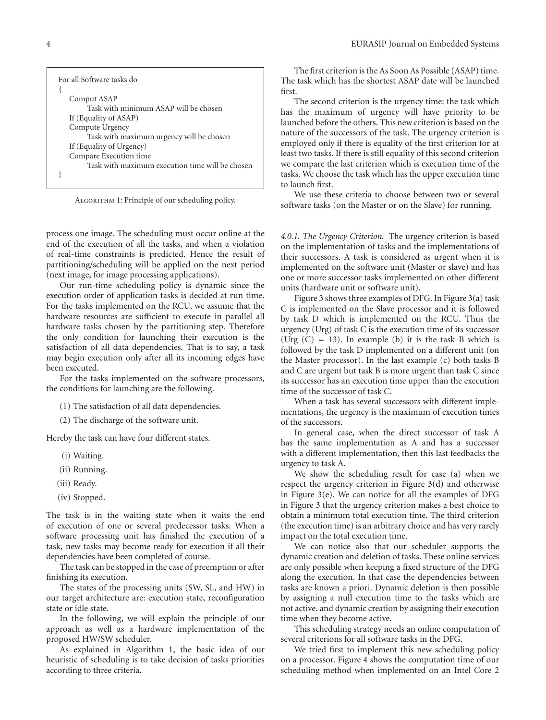| For all Software tasks do                       |
|-------------------------------------------------|
|                                                 |
| Comput ASAP                                     |
| Task with minimum ASAP will be chosen           |
| If (Equality of ASAP)                           |
| Compute Urgency                                 |
| Task with maximum urgency will be chosen        |
| If (Equality of Urgency)                        |
| Compare Execution time                          |
| Task with maximum execution time will be chosen |
|                                                 |
|                                                 |

ALGORITHM 1: Principle of our scheduling policy.

process one image. The scheduling must occur online at the end of the execution of all the tasks, and when a violation of real-time constraints is predicted. Hence the result of partitioning/scheduling will be applied on the next period (next image, for image processing applications).

Our run-time scheduling policy is dynamic since the execution order of application tasks is decided at run time. For the tasks implemented on the RCU, we assume that the hardware resources are sufficient to execute in parallel all hardware tasks chosen by the partitioning step. Therefore the only condition for launching their execution is the satisfaction of all data dependencies. That is to say, a task may begin execution only after all its incoming edges have been executed.

For the tasks implemented on the software processors, the conditions for launching are the following.

- (1) The satisfaction of all data dependencies.
- (2) The discharge of the software unit.

Hereby the task can have four different states.

- (i) Waiting.
- (ii) Running.
- (iii) Ready.
- (iv) Stopped.

The task is in the waiting state when it waits the end of execution of one or several predecessor tasks. When a software processing unit has finished the execution of a task, new tasks may become ready for execution if all their dependencies have been completed of course.

The task can be stopped in the case of preemption or after finishing its execution.

The states of the processing units (SW, SL, and HW) in our target architecture are: execution state, reconfiguration state or idle state.

In the following, we will explain the principle of our approach as well as a hardware implementation of the proposed HW/SW scheduler.

As explained in Algorithm 1, the basic idea of our heuristic of scheduling is to take decision of tasks priorities according to three criteria.

The first criterion is the As Soon As Possible (ASAP) time. The task which has the shortest ASAP date will be launched first.

The second criterion is the urgency time: the task which has the maximum of urgency will have priority to be launched before the others. This new criterion is based on the nature of the successors of the task. The urgency criterion is employed only if there is equality of the first criterion for at least two tasks. If there is still equality of this second criterion we compare the last criterion which is execution time of the tasks. We choose the task which has the upper execution time to launch first.

We use these criteria to choose between two or several software tasks (on the Master or on the Slave) for running.

*4.0.1. The Urgency Criterion.* The urgency criterion is based on the implementation of tasks and the implementations of their successors. A task is considered as urgent when it is implemented on the software unit (Master or slave) and has one or more successor tasks implemented on other different units (hardware unit or software unit).

Figure 3 shows three examples of DFG. In Figure  $3(a)$  task C is implemented on the Slave processor and it is followed by task D which is implemented on the RCU. Thus the urgency (Urg) of task C is the execution time of its successor (Urg  $(C) = 13$ ). In example (b) it is the task B which is followed by the task D implemented on a different unit (on the Master processor). In the last example (c) both tasks B and C are urgent but task B is more urgent than task C since its successor has an execution time upper than the execution time of the successor of task C.

When a task has several successors with different implementations, the urgency is the maximum of execution times of the successors.

In general case, when the direct successor of task A has the same implementation as A and has a successor with a different implementation, then this last feedbacks the urgency to task A.

We show the scheduling result for case (a) when we respect the urgency criterion in Figure 3(d) and otherwise in Figure 3(e). We can notice for all the examples of DFG in Figure 3 that the urgency criterion makes a best choice to obtain a minimum total execution time. The third criterion (the execution time) is an arbitrary choice and has very rarely impact on the total execution time.

We can notice also that our scheduler supports the dynamic creation and deletion of tasks. These online services are only possible when keeping a fixed structure of the DFG along the execution. In that case the dependencies between tasks are known a priori. Dynamic deletion is then possible by assigning a null execution time to the tasks which are not active. and dynamic creation by assigning their execution time when they become active.

This scheduling strategy needs an online computation of several criterions for all software tasks in the DFG.

We tried first to implement this new scheduling policy on a processor. Figure 4 shows the computation time of our scheduling method when implemented on an Intel Core 2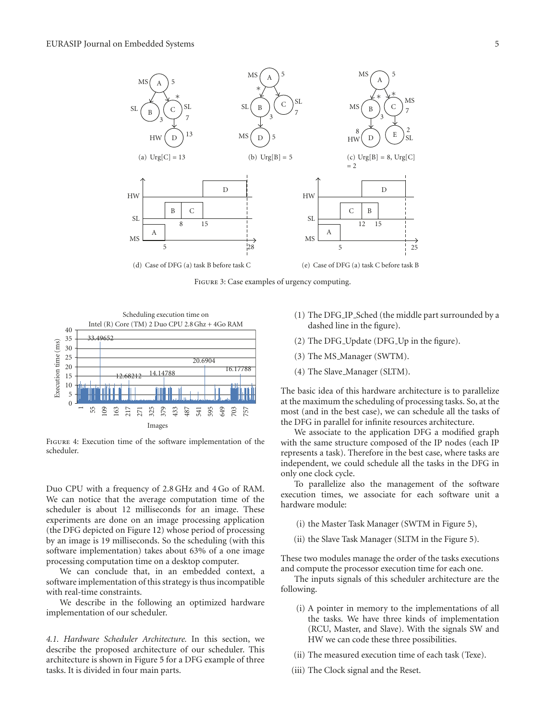

Figure 3: Case examples of urgency computing.



Figure 4: Execution time of the software implementation of the scheduler.

Duo CPU with a frequency of 2.8 GHz and 4 Go of RAM. We can notice that the average computation time of the scheduler is about 12 milliseconds for an image. These experiments are done on an image processing application (the DFG depicted on Figure 12) whose period of processing by an image is 19 milliseconds. So the scheduling (with this software implementation) takes about 63% of a one image processing computation time on a desktop computer.

We can conclude that, in an embedded context, a software implementation of this strategy is thus incompatible with real-time constraints.

We describe in the following an optimized hardware implementation of our scheduler.

*4.1. Hardware Scheduler Architecture.* In this section, we describe the proposed architecture of our scheduler. This architecture is shown in Figure 5 for a DFG example of three tasks. It is divided in four main parts.

- (1) The DFG IP Sched (the middle part surrounded by a dashed line in the figure).
- (2) The DFG Update (DFG Up in the figure).
- (3) The MS Manager (SWTM).
- (4) The Slave Manager (SLTM).

The basic idea of this hardware architecture is to parallelize at the maximum the scheduling of processing tasks. So, at the most (and in the best case), we can schedule all the tasks of the DFG in parallel for infinite resources architecture.

We associate to the application DFG a modified graph with the same structure composed of the IP nodes (each IP represents a task). Therefore in the best case, where tasks are independent, we could schedule all the tasks in the DFG in only one clock cycle.

To parallelize also the management of the software execution times, we associate for each software unit a hardware module:

- (i) the Master Task Manager (SWTM in Figure 5),
- (ii) the Slave Task Manager (SLTM in the Figure 5).

These two modules manage the order of the tasks executions and compute the processor execution time for each one.

The inputs signals of this scheduler architecture are the following.

- (i) A pointer in memory to the implementations of all the tasks. We have three kinds of implementation (RCU, Master, and Slave). With the signals SW and HW we can code these three possibilities.
- (ii) The measured execution time of each task (Texe).
- (iii) The Clock signal and the Reset.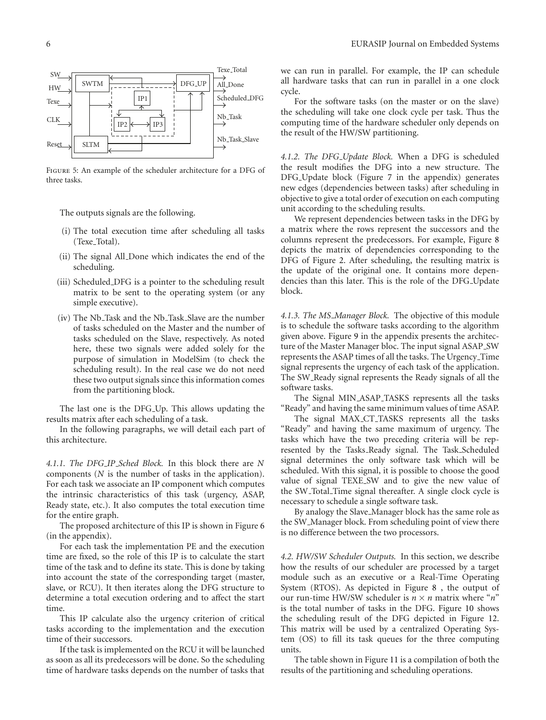

Figure 5: An example of the scheduler architecture for a DFG of three tasks.

The outputs signals are the following.

- (i) The total execution time after scheduling all tasks (Texe Total).
- (ii) The signal All Done which indicates the end of the scheduling.
- (iii) Scheduled DFG is a pointer to the scheduling result matrix to be sent to the operating system (or any simple executive).
- (iv) The Nb Task and the Nb Task Slave are the number of tasks scheduled on the Master and the number of tasks scheduled on the Slave, respectively. As noted here, these two signals were added solely for the purpose of simulation in ModelSim (to check the scheduling result). In the real case we do not need these two output signals since this information comes from the partitioning block.

The last one is the DFG Up. This allows updating the results matrix after each scheduling of a task.

In the following paragraphs, we will detail each part of this architecture.

*4.1.1. The DFG IP Sched Block.* In this block there are *N* components (*N* is the number of tasks in the application). For each task we associate an IP component which computes the intrinsic characteristics of this task (urgency, ASAP, Ready state, etc.). It also computes the total execution time for the entire graph.

The proposed architecture of this IP is shown in Figure 6 (in the appendix).

For each task the implementation PE and the execution time are fixed, so the role of this IP is to calculate the start time of the task and to define its state. This is done by taking into account the state of the corresponding target (master, slave, or RCU). It then iterates along the DFG structure to determine a total execution ordering and to affect the start time.

This IP calculate also the urgency criterion of critical tasks according to the implementation and the execution time of their successors.

If the task is implemented on the RCU it will be launched as soon as all its predecessors will be done. So the scheduling time of hardware tasks depends on the number of tasks that we can run in parallel. For example, the IP can schedule all hardware tasks that can run in parallel in a one clock cycle.

For the software tasks (on the master or on the slave) the scheduling will take one clock cycle per task. Thus the computing time of the hardware scheduler only depends on the result of the HW/SW partitioning.

*4.1.2. The DFG Update Block.* When a DFG is scheduled the result modifies the DFG into a new structure. The DFG Update block (Figure 7 in the appendix) generates new edges (dependencies between tasks) after scheduling in objective to give a total order of execution on each computing unit according to the scheduling results.

We represent dependencies between tasks in the DFG by a matrix where the rows represent the successors and the columns represent the predecessors. For example, Figure 8 depicts the matrix of dependencies corresponding to the DFG of Figure 2. After scheduling, the resulting matrix is the update of the original one. It contains more dependencies than this later. This is the role of the DFG Update block.

*4.1.3. The MS Manager Block.* The objective of this module is to schedule the software tasks according to the algorithm given above. Figure 9 in the appendix presents the architecture of the Master Manager bloc. The input signal ASAP SW represents the ASAP times of all the tasks. The Urgency Time signal represents the urgency of each task of the application. The SW<sub>-</sub>Ready signal represents the Ready signals of all the software tasks.

The Signal MIN\_ASAP\_TASKS represents all the tasks "Ready" and having the same minimum values of time ASAP.

The signal MAX CT TASKS represents all the tasks "Ready" and having the same maximum of urgency. The tasks which have the two preceding criteria will be represented by the Tasks Ready signal. The Task Scheduled signal determines the only software task which will be scheduled. With this signal, it is possible to choose the good value of signal TEXE SW and to give the new value of the SW Total Time signal thereafter. A single clock cycle is necessary to schedule a single software task.

By analogy the Slave Manager block has the same role as the SW Manager block. From scheduling point of view there is no difference between the two processors.

*4.2. HW/SW Scheduler Outputs.* In this section, we describe how the results of our scheduler are processed by a target module such as an executive or a Real-Time Operating System (RTOS). As depicted in Figure 8 , the output of our run-time HW/SW scheduler is  $n \times n$  matrix where " $n$ " is the total number of tasks in the DFG. Figure 10 shows the scheduling result of the DFG depicted in Figure 12. This matrix will be used by a centralized Operating System (OS) to fill its task queues for the three computing units.

The table shown in Figure 11 is a compilation of both the results of the partitioning and scheduling operations.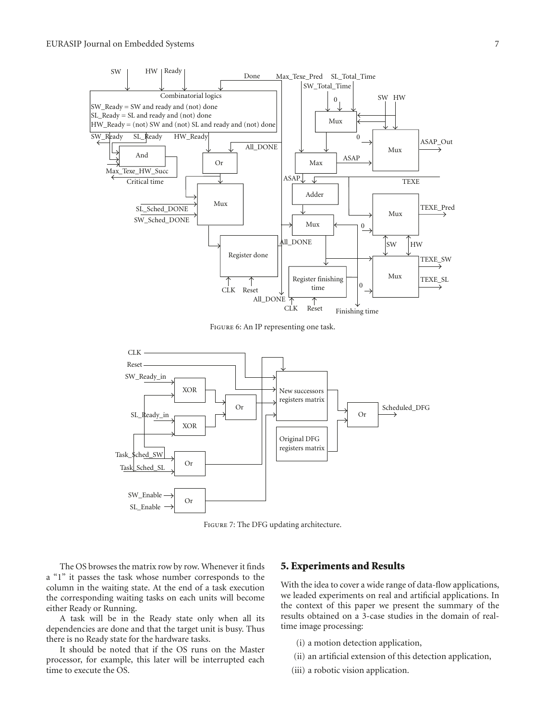

Figure 6: An IP representing one task.



Figure 7: The DFG updating architecture.

The OS browses the matrix row by row. Whenever it finds a "1" it passes the task whose number corresponds to the column in the waiting state. At the end of a task execution the corresponding waiting tasks on each units will become either Ready or Running.

A task will be in the Ready state only when all its dependencies are done and that the target unit is busy. Thus there is no Ready state for the hardware tasks.

It should be noted that if the OS runs on the Master processor, for example, this later will be interrupted each time to execute the OS.

#### **5. Experiments and Results**

With the idea to cover a wide range of data-flow applications, we leaded experiments on real and artificial applications. In the context of this paper we present the summary of the results obtained on a 3-case studies in the domain of realtime image processing:

- (i) a motion detection application,
- (ii) an artificial extension of this detection application,
- (iii) a robotic vision application.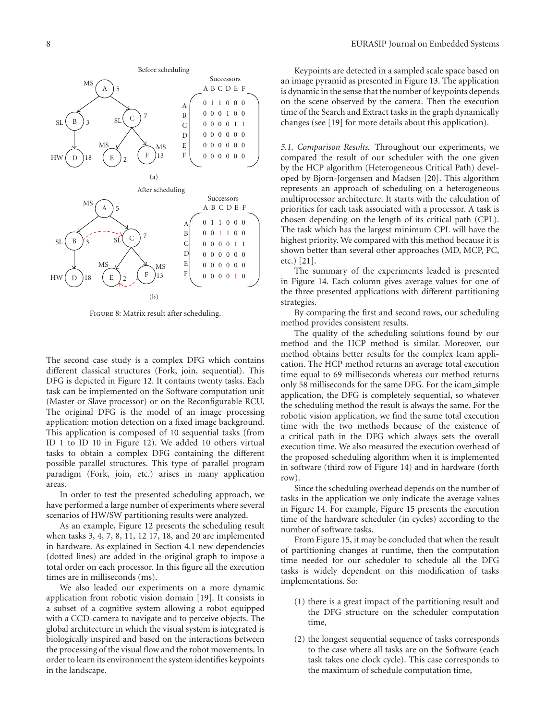

Figure 8: Matrix result after scheduling.

The second case study is a complex DFG which contains different classical structures (Fork, join, sequential). This DFG is depicted in Figure 12. It contains twenty tasks. Each task can be implemented on the Software computation unit (Master or Slave processor) or on the Reconfigurable RCU. The original DFG is the model of an image processing application: motion detection on a fixed image background. This application is composed of 10 sequential tasks (from ID 1 to ID 10 in Figure 12). We added 10 others virtual tasks to obtain a complex DFG containing the different possible parallel structures. This type of parallel program paradigm (Fork, join, etc.) arises in many application areas.

In order to test the presented scheduling approach, we have performed a large number of experiments where several scenarios of HW/SW partitioning results were analyzed.

As an example, Figure 12 presents the scheduling result when tasks 3, 4, 7, 8, 11, 12 17, 18, and 20 are implemented in hardware. As explained in Section 4.1 new dependencies (dotted lines) are added in the original graph to impose a total order on each processor. In this figure all the execution times are in milliseconds (ms).

We also leaded our experiments on a more dynamic application from robotic vision domain [19]. It consists in a subset of a cognitive system allowing a robot equipped with a CCD-camera to navigate and to perceive objects. The global architecture in which the visual system is integrated is biologically inspired and based on the interactions between the processing of the visual flow and the robot movements. In order to learn its environment the system identifies keypoints in the landscape.

Keypoints are detected in a sampled scale space based on an image pyramid as presented in Figure 13. The application is dynamic in the sense that the number of keypoints depends on the scene observed by the camera. Then the execution time of the Search and Extract tasks in the graph dynamically changes (see [19] for more details about this application).

*5.1. Comparison Results.* Throughout our experiments, we compared the result of our scheduler with the one given by the HCP algorithm (Heterogeneous Critical Path) developed by Bjorn-Jorgensen and Madsen [20]. This algorithm represents an approach of scheduling on a heterogeneous multiprocessor architecture. It starts with the calculation of priorities for each task associated with a processor. A task is chosen depending on the length of its critical path (CPL). The task which has the largest minimum CPL will have the highest priority. We compared with this method because it is shown better than several other approaches (MD, MCP, PC, etc.) [21].

The summary of the experiments leaded is presented in Figure 14. Each column gives average values for one of the three presented applications with different partitioning strategies.

By comparing the first and second rows, our scheduling method provides consistent results.

The quality of the scheduling solutions found by our method and the HCP method is similar. Moreover, our method obtains better results for the complex Icam application. The HCP method returns an average total execution time equal to 69 milliseconds whereas our method returns only 58 milliseconds for the same DFG. For the icam simple application, the DFG is completely sequential, so whatever the scheduling method the result is always the same. For the robotic vision application, we find the same total execution time with the two methods because of the existence of a critical path in the DFG which always sets the overall execution time. We also measured the execution overhead of the proposed scheduling algorithm when it is implemented in software (third row of Figure 14) and in hardware (forth row).

Since the scheduling overhead depends on the number of tasks in the application we only indicate the average values in Figure 14. For example, Figure 15 presents the execution time of the hardware scheduler (in cycles) according to the number of software tasks.

From Figure 15, it may be concluded that when the result of partitioning changes at runtime, then the computation time needed for our scheduler to schedule all the DFG tasks is widely dependent on this modification of tasks implementations. So:

- (1) there is a great impact of the partitioning result and the DFG structure on the scheduler computation time,
- (2) the longest sequential sequence of tasks corresponds to the case where all tasks are on the Software (each task takes one clock cycle). This case corresponds to the maximum of schedule computation time,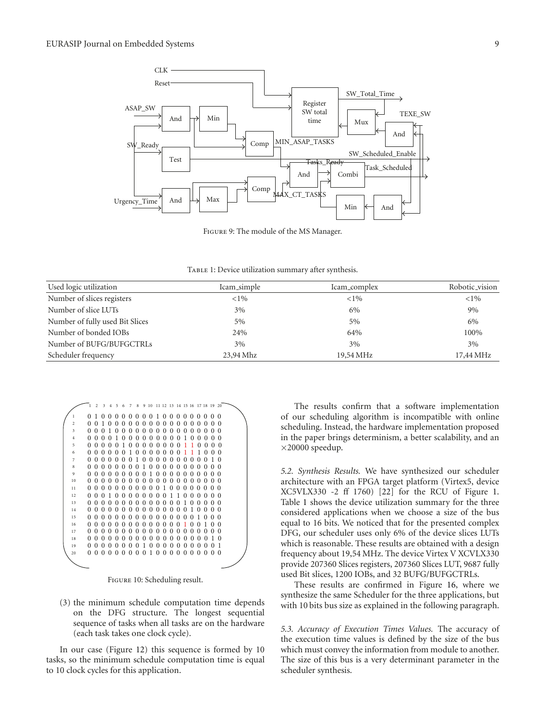

Figure 9: The module of the MS Manager.

TABLE 1: Device utilization summary after synthesis.

| Used logic utilization          | Icam_simple | Icam_complex | Robotic_vision |
|---------------------------------|-------------|--------------|----------------|
| Number of slices registers      | ${<}1\%$    | ${<}1\%$     | ${<}1\%$       |
| Number of slice LUTs            | 3%          | 6%           | 9%             |
| Number of fully used Bit Slices | 5%          | 5%           | 6%             |
| Number of bonded IOBs           | 24%         | 64%          | 100%           |
| Number of BUFG/BUFGCTRLs        | 3%          | 3%           | 3%             |
| Scheduler frequency             | 23,94 Mhz   | 19,54 MHz    | 17,44 MHz      |



Figure 10: Scheduling result.

(3) the minimum schedule computation time depends on the DFG structure. The longest sequential sequence of tasks when all tasks are on the hardware (each task takes one clock cycle).

In our case (Figure 12) this sequence is formed by 10 tasks, so the minimum schedule computation time is equal to 10 clock cycles for this application.

The results confirm that a software implementation of our scheduling algorithm is incompatible with online scheduling. Instead, the hardware implementation proposed in the paper brings determinism, a better scalability, and an  $\times$ 20000 speedup.

*5.2. Synthesis Results.* We have synthesized our scheduler architecture with an FPGA target platform (Virtex5, device XC5VLX330 -2 ff 1760) [22] for the RCU of Figure 1. Table 1 shows the device utilization summary for the three considered applications when we choose a size of the bus equal to 16 bits. We noticed that for the presented complex DFG, our scheduler uses only 6% of the device slices LUTs which is reasonable. These results are obtained with a design frequency about 19,54 MHz. The device Virtex V XCVLX330 provide 207360 Slices registers, 207360 Slices LUT, 9687 fully used Bit slices, 1200 IOBs, and 32 BUFG/BUFGCTRLs.

These results are confirmed in Figure 16, where we synthesize the same Scheduler for the three applications, but with 10 bits bus size as explained in the following paragraph.

*5.3. Accuracy of Execution Times Values.* The accuracy of the execution time values is defined by the size of the bus which must convey the information from module to another. The size of this bus is a very determinant parameter in the scheduler synthesis.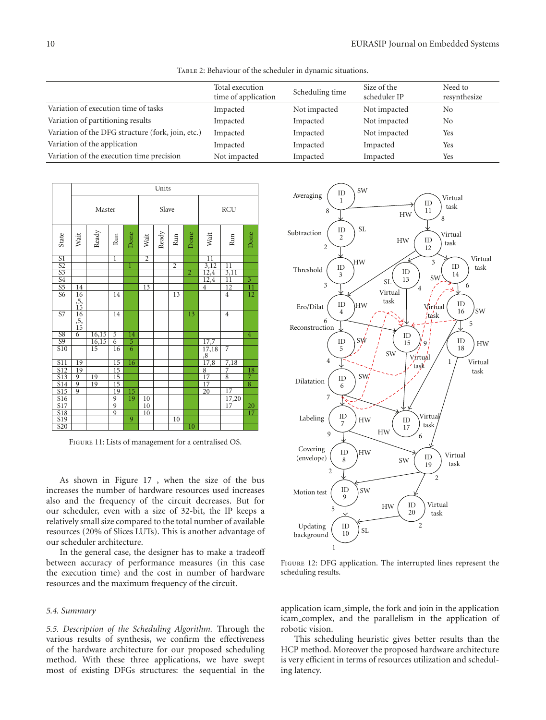TABLE 2: Behaviour of the scheduler in dynamic situations.

|                                                   | Total execution<br>time of application | Scheduling time | Size of the<br>scheduler IP | Need to<br>resynthesize |
|---------------------------------------------------|----------------------------------------|-----------------|-----------------------------|-------------------------|
| Variation of execution time of tasks              | Impacted                               | Not impacted    | Not impacted                | N <sub>0</sub>          |
| Variation of partitioning results                 | Impacted                               | Impacted        | Not impacted                | N <sub>0</sub>          |
| Variation of the DFG structure (fork, join, etc.) | Impacted                               | Impacted        | Not impacted                | Yes                     |
| Variation of the application                      | Impacted                               | Impacted        | Impacted                    | Yes                     |
| Variation of the execution time precision         | Not impacted                           | Impacted        | Impacted                    | Yes                     |



Figure 11: Lists of management for a centralised OS.

As shown in Figure 17 , when the size of the bus increases the number of hardware resources used increases also and the frequency of the circuit decreases. But for our scheduler, even with a size of 32-bit, the IP keeps a relatively small size compared to the total number of available resources (20% of Slices LUTs). This is another advantage of our scheduler architecture.

In the general case, the designer has to make a tradeoff between accuracy of performance measures (in this case the execution time) and the cost in number of hardware resources and the maximum frequency of the circuit.

#### *5.4. Summary*

*5.5. Description of the Scheduling Algorithm.* Through the various results of synthesis, we confirm the effectiveness of the hardware architecture for our proposed scheduling method. With these three applications, we have swept most of existing DFGs structures: the sequential in the



Figure 12: DFG application. The interrupted lines represent the scheduling results.

application icam simple, the fork and join in the application icam complex, and the parallelism in the application of robotic vision.

This scheduling heuristic gives better results than the HCP method. Moreover the proposed hardware architecture is very efficient in terms of resources utilization and scheduling latency.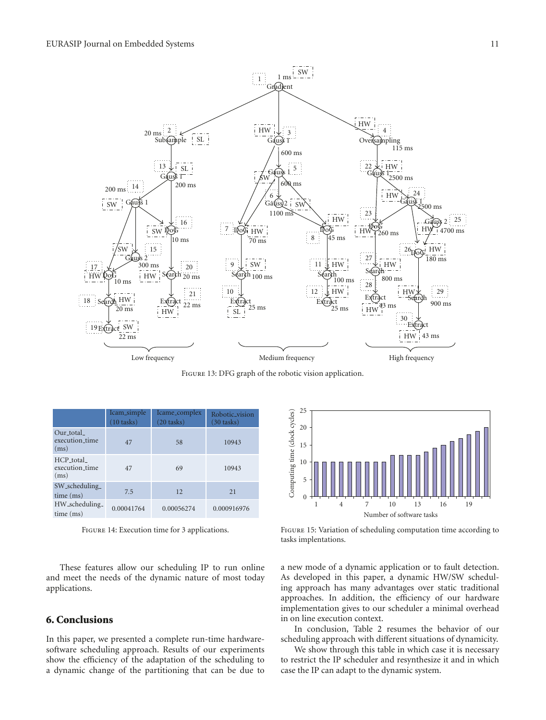

FIGURE 13: DFG graph of the robotic vision application.

|                                                | Icam_simple<br>$(10$ tasks) | Icame_complex<br>$(20$ tasks) | Robotic_vision<br>$(30 \text{ tasks})$ |
|------------------------------------------------|-----------------------------|-------------------------------|----------------------------------------|
| Our <sub>total</sub><br>execution time<br>(ms) | 47                          | 58                            | 10943                                  |
| HCP_total_<br>execution time<br>(ms)           | 47                          | 69                            | 10943                                  |
| SW_scheduling_<br>time (ms)                    | 7.5                         | 12                            | 21                                     |
| HW_scheduling_<br>time (ms)                    | 0.00041764                  | 0.00056274                    | 0.000916976                            |

FIGURE 14: Execution time for 3 applications.



Figure 15: Variation of scheduling computation time according to tasks implentations.

These features allow our scheduling IP to run online and meet the needs of the dynamic nature of most today applications.

## **6. Conclusions**

In this paper, we presented a complete run-time hardwaresoftware scheduling approach. Results of our experiments show the efficiency of the adaptation of the scheduling to a dynamic change of the partitioning that can be due to a new mode of a dynamic application or to fault detection. As developed in this paper, a dynamic HW/SW scheduling approach has many advantages over static traditional approaches. In addition, the efficiency of our hardware implementation gives to our scheduler a minimal overhead in on line execution context.

In conclusion, Table 2 resumes the behavior of our scheduling approach with different situations of dynamicity.

We show through this table in which case it is necessary to restrict the IP scheduler and resynthesize it and in which case the IP can adapt to the dynamic system.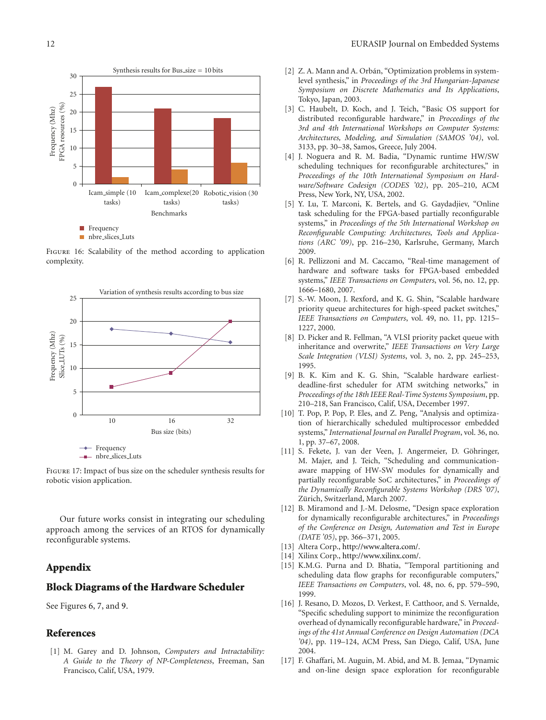

Figure 16: Scalability of the method according to application complexity.



Figure 17: Impact of bus size on the scheduler synthesis results for robotic vision application.

Our future works consist in integrating our scheduling approach among the services of an RTOS for dynamically reconfigurable systems.

# **Appendix**

### **Block Diagrams of the Hardware Scheduler**

See Figures 6, 7, and 9.

#### **References**

[1] M. Garey and D. Johnson, *Computers and Intractability: A Guide to the Theory of NP-Completeness*, Freeman, San Francisco, Calif, USA, 1979.

- [2] Z. A. Mann and A. Orbán, "Optimization problems in systemlevel synthesis," in *Proceedings of the 3rd Hungarian-Japanese Symposium on Discrete Mathematics and Its Applications*, Tokyo, Japan, 2003.
- [3] C. Haubelt, D. Koch, and J. Teich, "Basic OS support for distributed reconfigurable hardware," in *Proceedings of the 3rd and 4th International Workshops on Computer Systems: Architectures, Modeling, and Simulation (SAMOS '04)*, vol. 3133, pp. 30–38, Samos, Greece, July 2004.
- [4] J. Noguera and R. M. Badia, "Dynamic runtime HW/SW scheduling techniques for reconfigurable architectures," in *Proceedings of the 10th International Symposium on Hardware/Software Codesign (CODES '02)*, pp. 205–210, ACM Press, New York, NY, USA, 2002.
- [5] Y. Lu, T. Marconi, K. Bertels, and G. Gaydadjiev, "Online task scheduling for the FPGA-based partially reconfigurable systems," in *Proceedings of the 5th International Workshop on Reconfigurable Computing: Architectures, Tools and Applications (ARC '09)*, pp. 216–230, Karlsruhe, Germany, March 2009.
- [6] R. Pellizzoni and M. Caccamo, "Real-time management of hardware and software tasks for FPGA-based embedded systems," *IEEE Transactions on Computers*, vol. 56, no. 12, pp. 1666–1680, 2007.
- [7] S.-W. Moon, J. Rexford, and K. G. Shin, "Scalable hardware priority queue architectures for high-speed packet switches," *IEEE Transactions on Computers*, vol. 49, no. 11, pp. 1215– 1227, 2000.
- [8] D. Picker and R. Fellman, "A VLSI priority packet queue with inheritance and overwrite," *IEEE Transactions on Very Large Scale Integration (VLSI) Systems*, vol. 3, no. 2, pp. 245–253, 1995.
- [9] B. K. Kim and K. G. Shin, "Scalable hardware earliestdeadline-first scheduler for ATM switching networks," in *Proceedings of the 18th IEEE Real-Time Systems Symposium*, pp. 210–218, San Francisco, Calif, USA, December 1997.
- [10] T. Pop, P. Pop, P. Eles, and Z. Peng, "Analysis and optimization of hierarchically scheduled multiprocessor embedded systems," *International Journal on Parallel Program*, vol. 36, no. 1, pp. 37–67, 2008.
- [11] S. Fekete, J. van der Veen, J. Angermeier, D. Göhringer, M. Majer, and J. Teich, "Scheduling and communicationaware mapping of HW-SW modules for dynamically and partially reconfigurable SoC architectures," in *Proceedings of the Dynamically Reconfigurable Systems Workshop (DRS '07)*, Zürich, Switzerland, March 2007.
- [12] B. Miramond and J.-M. Delosme, "Design space exploration for dynamically reconfigurable architectures," in *Proceedings of the Conference on Design, Automation and Test in Europe (DATE '05)*, pp. 366–371, 2005.
- [13] Altera Corp., http://www.altera.com/.
- [14] Xilinx Corp., http://www.xilinx.com/.
- [15] K.M.G. Purna and D. Bhatia, "Temporal partitioning and scheduling data flow graphs for reconfigurable computers," *IEEE Transactions on Computers*, vol. 48, no. 6, pp. 579–590, 1999.
- [16] J. Resano, D. Mozos, D. Verkest, F. Catthoor, and S. Vernalde, "Specific scheduling support to minimize the reconfiguration overhead of dynamically reconfigurable hardware," in *Proceedings of the 41st Annual Conference on Design Automation (DCA '04)*, pp. 119–124, ACM Press, San Diego, Calif, USA, June 2004.
- [17] F. Ghaffari, M. Auguin, M. Abid, and M. B. Jemaa, "Dynamic and on-line design space exploration for reconfigurable